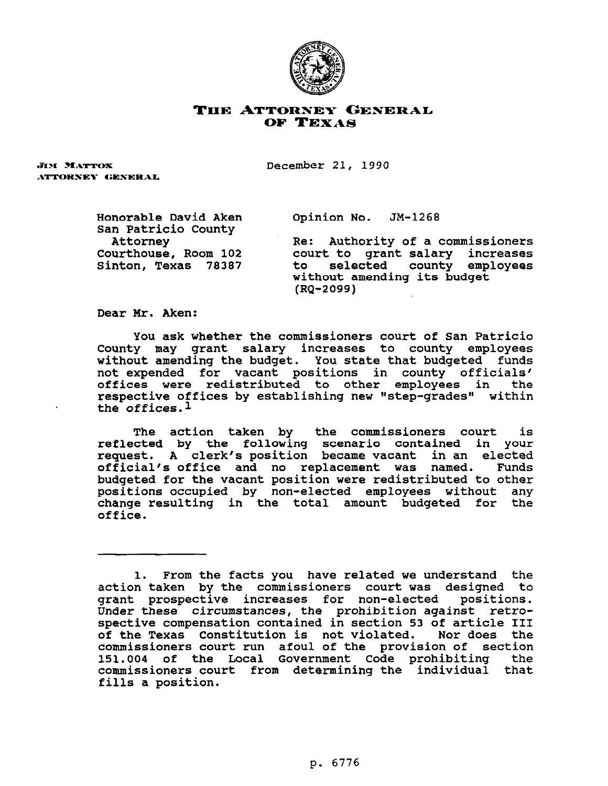

## **THE ATTORNEY GESERAL OF TEXAS**

ЛМ МАТТОХ ATTORNEY GENERAL December 21, 1990

Honorable David Aken San Patricia County Attorney Courthouse, Room 102 Sinton, Texas 78387 Opinion No. JM-1268

Re: Authority of a commissioners court to grant salary increases selected county employees without amending its budget (RQ-2099)

Dear Mr. Aken:

You ask whether the commissioners court of San Patricia County may grant salary increases to county employees without amending the budget. You state that budgeted funds not expended for vacant positions in county officials' offices were redistributed to other employees in the respective offices by establishing new "step-grades" within the offices.1

The action taken by the commissioners court is reflected by the following scenario contained in your request. A clerk's position became vacant in an elected official's office and no replacement was named. Funds budgeted for the vacant position were redistributed to other positions occupied by non-elected employees without any change resulting in the total amount budgeted for the office.

<sup>1.</sup> From the facts you have related we understand the action taken by the commissioners court was designed to grant prospective increases for non-elected positions. Under these circumstances, the prohibition against retrospective compensation contained in section 53 of article III of the Texas Constitution is not violated. Nor does the commissioners court run afoul of the provision of section 151.004 of the Local Government Code prohibiting the commissioners court from determining the individual that fills a position.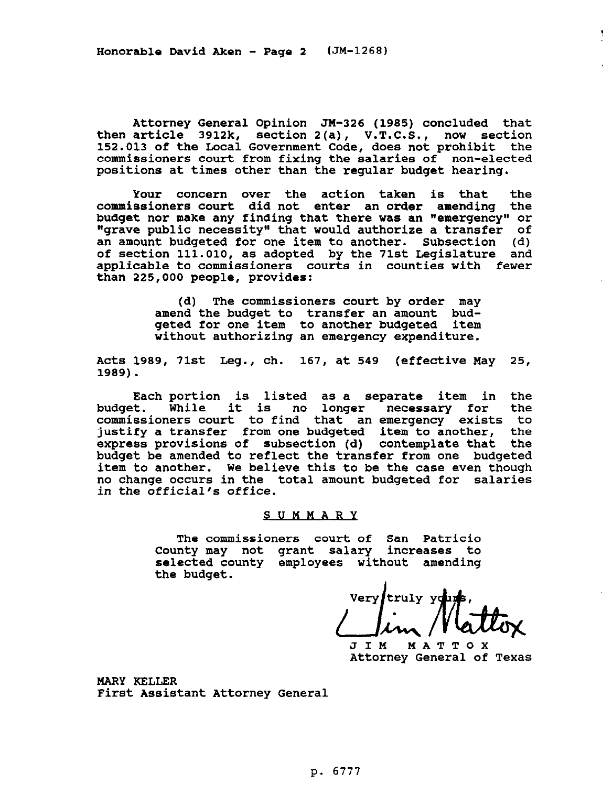Honorable David Aken - Page 2 (JM-1268)

Attorney General Opinion JW-326 (1985) concluded that then article 3912k, section 2(a), V.T.C.S., now section 152.013 of the Local Government Code, does not prohibit the commissioners court from fixing the salaries of non-elected positions at times other than the regular budget hearing.

Your concern over the action taken is that the commissioners court did not enter an order amending the budget nor make any finding that there was an "emergency" or "grave public necessity" that would authorize a transfer of an amount budgeted for one item to another. Subsection (d) of section 111.010, as adopted by the 71st Legislature and applicable to commissioners courts in counties with fewer than 225,000 people, provides:

> (d) The commissioners oourt by order may amend the budget to transfer an amount budgeted for one item to another budgeted item without authorizing an emergency expenditure.

Acts 1989, 71st Leg., ch. 167, at 549 (effective Way 25, 1989).

Each portion is listed as a separate item in the budget. While it is no longer necessary for commissioners court to find that an emergency exists to justify a transfer from one budgeted item to another, the express provisions of subsection (d) contemplate that the budget be amended to reflect the transfer from one budgeted item to another. We believe this to be the case even though no change occurs in the total amount budgeted for salaries in the official's office.

## SUMMARY

The commissioners court of San Patricia County may not grant salary increases to selected county employees without amending the budget.

**Very** truly yo  $\Box$ *l*  $\mu$  /  $\blacksquare$ 

JIM MATTOX Attorney General of Texas

Ĩ.

MARY KELLER First Assistant Attorney General